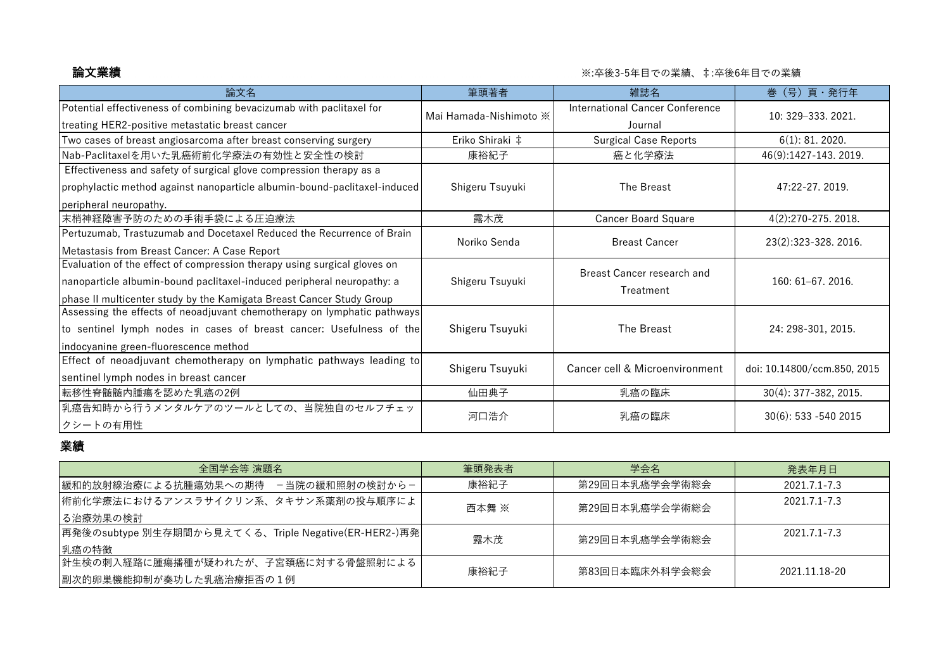## **論文業績** または、このには、このようには、このようには、このようには、この業は、この業績、年に、この業績、年に、その業績、<br>第一次の業績

| 論文名                                                                       | 筆頭著者                   | 雑誌名                                        | 巻 (号) 頁・発行年                 |
|---------------------------------------------------------------------------|------------------------|--------------------------------------------|-----------------------------|
| Potential effectiveness of combining bevacizumab with paclitaxel for      | Mai Hamada-Nishimoto * | International Cancer Conference<br>Journal | 10: 329 - 333, 2021.        |
| treating HER2-positive metastatic breast cancer                           |                        |                                            |                             |
| Two cases of breast angiosarcoma after breast conserving surgery          | Eriko Shiraki ‡        | <b>Surgical Case Reports</b>               | $6(1)$ : 81. 2020.          |
| Nab-Paclitaxelを用いた乳癌術前化学療法の有効性と安全性の検討                                     | 康裕紀子                   | 癌と化学療法                                     | 46(9):1427-143. 2019.       |
| Effectiveness and safety of surgical glove compression therapy as a       |                        |                                            |                             |
| prophylactic method against nanoparticle albumin-bound-paclitaxel-induced | Shigeru Tsuyuki        | The Breast                                 | 47:22-27.2019.              |
| peripheral neuropathy.                                                    |                        |                                            |                             |
| 末梢神経障害予防のための手術手袋による圧迫療法                                                   | 露木茂                    | <b>Cancer Board Square</b>                 | 4(2):270-275. 2018.         |
| Pertuzumab, Trastuzumab and Docetaxel Reduced the Recurrence of Brain     |                        | <b>Breast Cancer</b>                       | 23(2):323-328. 2016.        |
| Metastasis from Breast Cancer: A Case Report                              | Noriko Senda           |                                            |                             |
| Evaluation of the effect of compression therapy using surgical gloves on  |                        | Breast Cancer research and                 |                             |
| nanoparticle albumin-bound paclitaxel-induced peripheral neuropathy: a    | Shigeru Tsuyuki        | Treatment                                  | $160:61-67.2016.$           |
| phase II multicenter study by the Kamigata Breast Cancer Study Group      |                        |                                            |                             |
| Assessing the effects of neoadjuvant chemotherapy on lymphatic pathways   |                        |                                            |                             |
| to sentinel lymph nodes in cases of breast cancer: Usefulness of the      | Shigeru Tsuyuki        | The Breast                                 | 24: 298-301, 2015.          |
| indocyanine green-fluorescence method                                     |                        |                                            |                             |
| Effect of neoadjuvant chemotherapy on lymphatic pathways leading to       | Shigeru Tsuyuki        | Cancer cell & Microenvironment             | doi: 10.14800/ccm.850, 2015 |
| sentinel lymph nodes in breast cancer                                     |                        |                                            |                             |
| 転移性脊髄髄内腫瘍を認めた乳癌の2例                                                        | 仙田典子                   | 乳癌の臨床                                      | $30(4)$ : 377-382, 2015.    |
| 乳癌告知時から行うメンタルケアのツールとしての、当院独自のセルフチェッ                                       |                        | 乳癌の臨床                                      |                             |
| クシートの有用性                                                                  | 河口浩介                   |                                            | 30(6): 533 -540 2015        |

## 業績

| 全国学会等 演題名                                            | 筆頭発表者 | 学会名            | 発表年月日         |
|------------------------------------------------------|-------|----------------|---------------|
| ┃緩和的放射線治療による抗腫瘍効果への期待 - 当院の緩和照射の検討から-                | 康裕紀子  | 第29回日本乳癌学会学術総会 | 2021.7.1-7.3  |
| 術前化学療法におけるアンスラサイクリン系、タキサン系薬剤の投与順序によ                  | 西本舞 ※ | 第29回日本乳癌学会学術総会 | 2021.7.1-7.3  |
| る治療効果の検討                                             |       |                |               |
| 再発後のsubtype 別生存期間から見えてくる、Triple Negative(ER-HER2-)再発 | 露木茂   | 第29回日本乳癌学会学術総会 | 2021.7.1-7.3  |
| 乳癌の特徴                                                |       |                |               |
| 針生検の刺入経路に腫瘍播種が疑われたが、子宮頚癌に対する骨盤照射による                  | 康裕紀子  | 第83回日本臨床外科学会総会 | 2021 11 18-20 |
| 副次的卵巣機能抑制が奏功した乳癌治療拒否の1例                              |       |                |               |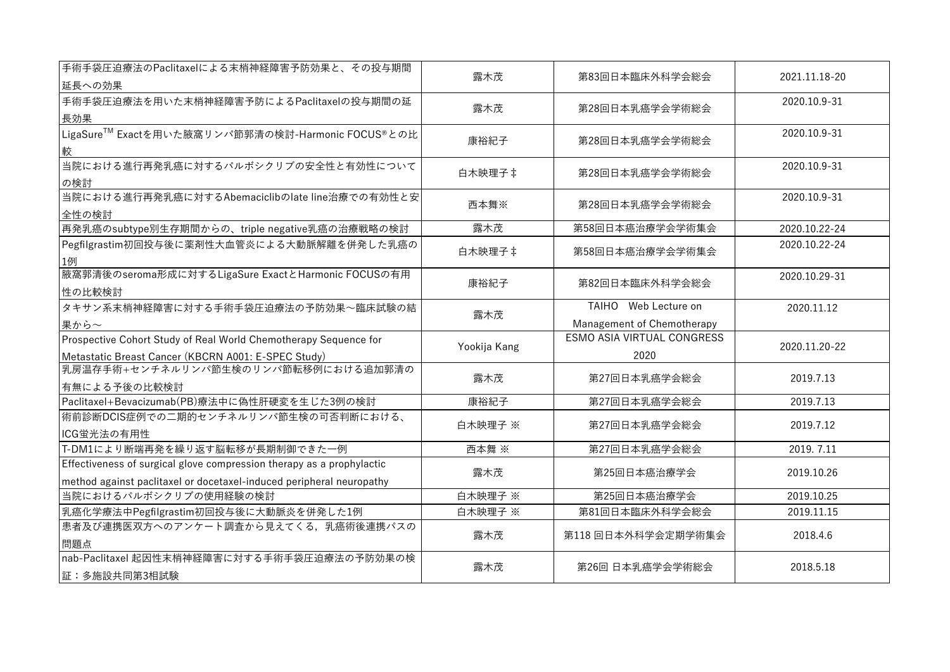| 手術手袋圧迫療法のPaclitaxelによる末梢神経障害予防効果と、その投与期間<br>延長への効果                                                                                            | 露木茂          | 第83回日本臨床外科学会総会                                     | 2021.11.18-20 |
|-----------------------------------------------------------------------------------------------------------------------------------------------|--------------|----------------------------------------------------|---------------|
| 手術手袋圧迫療法を用いた末梢神経障害予防によるPaclitaxelの投与期間の延<br>長効果                                                                                               | 露木茂          | 第28回日本乳癌学会学術総会                                     | 2020.10.9-31  |
| LigaSure™ Exactを用いた腋窩リンパ節郭清の検討-Harmonic FOCUS®との比<br>較                                                                                        | 康裕紀子         | 第28回日本乳癌学会学術総会                                     | 2020.10.9-31  |
| 当院における進行再発乳癌に対するパルボシクリブの安全性と有効性について<br>の検討                                                                                                    | 白木映理子 ‡      | 第28回日本乳癌学会学術総会                                     | 2020.10.9-31  |
| 当院における進行再発乳癌に対するAbemaciclibのlate line治療での有効性と安<br>全性の検討                                                                                       | 西本舞※         | 第28回日本乳癌学会学術総会                                     | 2020.10.9-31  |
| 再発乳癌のsubtype別生存期間からの、triple negative乳癌の治療戦略の検討                                                                                                | 露木茂          | 第58回日本癌治療学会学術集会                                    | 2020.10.22-24 |
| Pegfilgrastim初回投与後に薬剤性大血管炎による大動脈解離を併発した乳癌の<br>1例                                                                                              | 白木映理子 ‡      | 第58回日本癌治療学会学術集会                                    | 2020.10.22-24 |
| 腋窩郭清後のseroma形成に対するLigaSure ExactとHarmonic FOCUSの有用<br>性の比較検討                                                                                  | 康裕紀子         | 第82回日本臨床外科学会総会                                     | 2020.10.29-31 |
| タキサン系末梢神経障害に対する手術手袋圧迫療法の予防効果~臨床試験の結<br>果から~                                                                                                   | 露木茂          | TAIHO Web Lecture on<br>Management of Chemotherapy | 2020.11.12    |
| Prospective Cohort Study of Real World Chemotherapy Sequence for<br>Metastatic Breast Cancer (KBCRN A001: E-SPEC Study)                       | Yookija Kang | <b>ESMO ASIA VIRTUAL CONGRESS</b><br>2020          | 2020.11.20-22 |
| 乳房温存手術+センチネルリンパ節生検のリンパ節転移例における追加郭清の<br>有無による予後の比較検討                                                                                           | 露木茂          | 第27回日本乳癌学会総会                                       | 2019.7.13     |
| Paclitaxel+Bevacizumab(PB)療法中に偽性肝硬変を生じた3例の検討                                                                                                  | 康裕紀子         | 第27回日本乳癌学会総会                                       | 2019.7.13     |
| 術前診断DCIS症例での二期的センチネルリンパ節生検の可否判断における、<br>ICG蛍光法の有用性                                                                                            | 白木映理子 ※      | 第27回日本乳癌学会総会                                       | 2019.7.12     |
| T-DM1により断端再発を繰り返す脳転移が長期制御できた一例                                                                                                                | 西本舞 ※        | 第27回日本乳癌学会総会                                       | 2019.7.11     |
| Effectiveness of surgical glove compression therapy as a prophylactic<br>method against paclitaxel or docetaxel-induced peripheral neuropathy | 露木茂          | 第25回日本癌治療学会                                        | 2019.10.26    |
| 当院におけるパルボシクリブの使用経験の検討                                                                                                                         | 白木映理子 ※      | 第25回日本癌治療学会                                        | 2019.10.25    |
| 乳癌化学療法中Pegfilgrastim初回投与後に大動脈炎を併発した1例                                                                                                         | 白木映理子 ※      | 第81回日本臨床外科学会総会                                     | 2019.11.15    |
| 患者及び連携医双方へのアンケート調査から見えてくる、乳癌術後連携パスの<br>問題点                                                                                                    | 露木茂          | 第118回日本外科学会定期学術集会                                  | 2018.4.6      |
| nab-Paclitaxel 起因性末梢神経障害に対する手術手袋圧迫療法の予防効果の検<br>証:多施設共同第3相試験                                                                                   | 露木茂          | 第26回日本乳癌学会学術総会                                     | 2018.5.18     |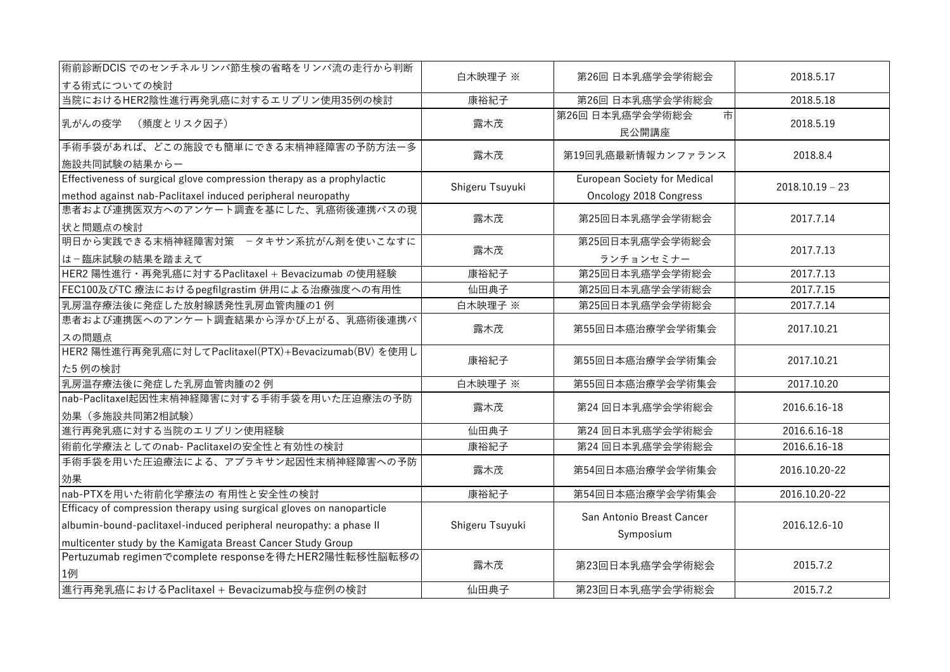| 術前診断DCIS でのセンチネルリンパ節生検の省略をリンパ流の走行から判断<br>する術式についての検討                                                                                                                                                       | 白木映理子 ※         | 第26回 日本乳癌学会学術総会                                               | 2018.5.17         |
|------------------------------------------------------------------------------------------------------------------------------------------------------------------------------------------------------------|-----------------|---------------------------------------------------------------|-------------------|
| 当院におけるHER2陰性進行再発乳癌に対するエリブリン使用35例の検討                                                                                                                                                                        | 康裕紀子            | 第26回日本乳癌学会学術総会                                                | 2018.5.18         |
| 乳がんの疫学<br>(頻度とリスク因子)                                                                                                                                                                                       | 露木茂             | 第26回 日本乳癌学会学術総会<br>市<br>民公開講座                                 | 2018.5.19         |
| 手術手袋があれば、どこの施設でも簡単にできる末梢神経障害の予防方法ー多<br>施設共同試験の結果からー                                                                                                                                                        | 露木茂             | 第19回乳癌最新情報カンファランス                                             | 2018.8.4          |
| Effectiveness of surgical glove compression therapy as a prophylactic<br>method against nab-Paclitaxel induced peripheral neuropathy                                                                       | Shigeru Tsuyuki | <b>European Society for Medical</b><br>Oncology 2018 Congress | $2018.10.19 - 23$ |
| 患者および連携医双方へのアンケート調査を基にした、乳癌術後連携パスの現<br>状と問題点の検討                                                                                                                                                            | 露木茂             | 第25回日本乳癌学会学術総会                                                | 2017.7.14         |
| 明日から実践できる末梢神経障害対策 -タキサン系抗がん剤を使いこなすに<br>は-臨床試験の結果を踏まえて                                                                                                                                                      | 露木茂             | 第25回日本乳癌学会学術総会<br>ランチョンセミナー                                   | 2017.7.13         |
| HER2 陽性進行・再発乳癌に対するPaclitaxel + Bevacizumab の使用経験                                                                                                                                                           | 康裕紀子            | 第25回日本乳癌学会学術総会                                                | 2017.7.13         |
| FEC100及びTC 療法におけるpegfilgrastim 併用による治療強度への有用性                                                                                                                                                              | 仙田典子            | 第25回日本乳癌学会学術総会                                                | 2017.7.15         |
| 乳房温存療法後に発症した放射線誘発性乳房血管肉腫の1例                                                                                                                                                                                | 白木映理子 ※         | 第25回日本乳癌学会学術総会                                                | 2017.7.14         |
| 患者および連携医へのアンケート調査結果から浮かび上がる、乳癌術後連携パ<br>スの問題点                                                                                                                                                               | 露木茂             | 第55回日本癌治療学会学術集会                                               | 2017.10.21        |
| HER2 陽性進行再発乳癌に対してPaclitaxel(PTX)+Bevacizumab(BV) を使用し<br>た5 例の検討                                                                                                                                           | 康裕紀子            | 第55回日本癌治療学会学術集会                                               | 2017.10.21        |
| 乳房温存療法後に発症した乳房血管肉腫の2例                                                                                                                                                                                      | 白木映理子 ※         | 第55回日本癌治療学会学術集会                                               | 2017.10.20        |
| nab-Paclitaxel起因性末梢神経障害に対する手術手袋を用いた圧迫療法の予防<br>効果 (多施設共同第2相試験)                                                                                                                                              | 露木茂             | 第24回日本乳癌学会学術総会                                                | 2016.6.16-18      |
| 進行再発乳癌に対する当院のエリブリン使用経験                                                                                                                                                                                     | 仙田典子            | 第24回日本乳癌学会学術総会                                                | 2016.6.16-18      |
| 術前化学療法としてのnab- Paclitaxelの安全性と有効性の検討                                                                                                                                                                       | 康裕紀子            | 第24回日本乳癌学会学術総会                                                | 2016.6.16-18      |
| 手術手袋を用いた圧迫療法による、アブラキサン起因性末梢神経障害への予防<br>効果                                                                                                                                                                  | 露木茂             | 第54回日本癌治療学会学術集会                                               | 2016.10.20-22     |
| nab-PTXを用いた術前化学療法の 有用性と安全性の検討                                                                                                                                                                              | 康裕紀子            | 第54回日本癌治療学会学術集会                                               | 2016.10.20-22     |
| Efficacy of compression therapy using surgical gloves on nanoparticle<br>albumin-bound-paclitaxel-induced peripheral neuropathy: a phase II<br>multicenter study by the Kamigata Breast Cancer Study Group | Shigeru Tsuyuki | San Antonio Breast Cancer<br>Symposium                        | 2016.12.6-10      |
| Pertuzumab regimenでcomplete responseを得たHER2陽性転移性脳転移の<br>1例                                                                                                                                                 | 露木茂             | 第23回日本乳癌学会学術総会                                                | 2015.7.2          |
| 進行再発乳癌におけるPaclitaxel + Bevacizumab投与症例の検討                                                                                                                                                                  | 仙田典子            | 第23回日本乳癌学会学術総会                                                | 2015.7.2          |